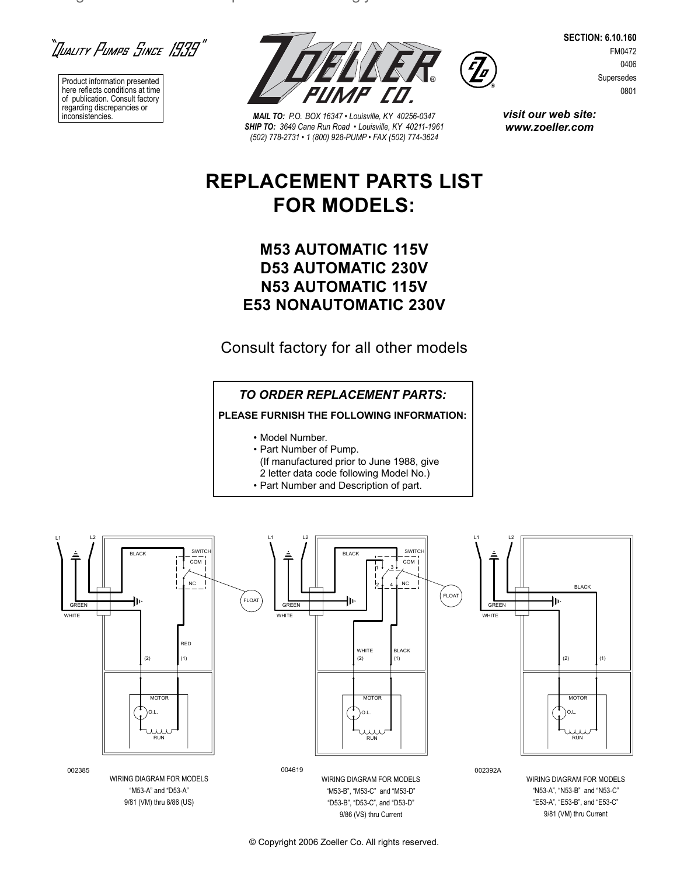``]uality Pumpe Since 1939"

 $\Box$ 

Product information presented here reflects conditions at time of publication. Consult factory regarding discrepancies or



**MAIL TO:** P.O. BOX 16347 • Louisville, KY 40256-0347 *SHIP TO: 3649 Cane Run Road • Louisville, KY 40211-1961 (502) 778-2731 • 1 (800) 928-PUMP • FAX (502) 774-3624*

**SECTION: 6.10.160** FM0472 0406 Supersedes 0801

*visit our web site: www.zoeller.com*

**REPLACEMENT PARTS LIST**

# **FOR MODELS:**

## **M53 AUTOMATIC 115V D53 AUTOMATIC 230V N53 AUTOMATIC 115V E53 NONAUTOMATIC 230V**

Consult factory for all other models

## *TO ORDER REPLACEMENT PARTS:*

**PLEASE FURNISH THE FOLLOWING INFORMATION:**

- Model Number.
- Part Number of Pump.
- (If manufactured prior to June 1988, give
- 2 letter data code following Model No.)
- Part Number and Description of part.



© Copyright 2006 Zoeller Co. All rights reserved.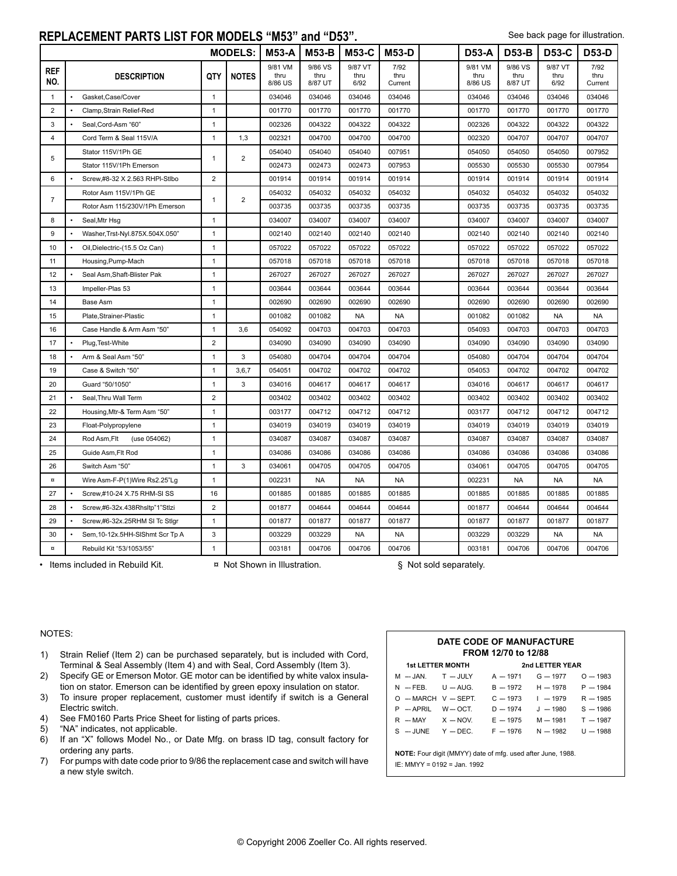#### **REPLACEMENT PARTS LIST FOR MODELS "M53" and "D53".**

| <b>MODELS:</b>    |                                 |                |                | <b>M53-A</b>               | M53-B                      | M53-C                   | <b>M53-D</b>            | <b>D53-A</b>               | <b>D53-B</b>               | <b>D53-C</b>            | <b>D53-D</b>            |
|-------------------|---------------------------------|----------------|----------------|----------------------------|----------------------------|-------------------------|-------------------------|----------------------------|----------------------------|-------------------------|-------------------------|
| <b>REF</b><br>NO. | <b>DESCRIPTION</b>              | QTY            | <b>NOTES</b>   | 9/81 VM<br>thru<br>8/86 US | 9/86 VS<br>thru<br>8/87 UT | 9/87 VT<br>thru<br>6/92 | 7/92<br>thru<br>Current | 9/81 VM<br>thru<br>8/86 US | 9/86 VS<br>thru<br>8/87 UT | 9/87 VT<br>thru<br>6/92 | 7/92<br>thru<br>Current |
| $\mathbf{1}$      | Gasket, Case/Cover              | $\mathbf{1}$   |                | 034046                     | 034046                     | 034046                  | 034046                  | 034046                     | 034046                     | 034046                  | 034046                  |
| $\overline{2}$    | Clamp, Strain Relief-Red        | $\mathbf{1}$   |                | 001770                     | 001770                     | 001770                  | 001770                  | 001770                     | 001770                     | 001770                  | 001770                  |
| 3                 | Seal, Cord-Asm "60"             | $\mathbf{1}$   |                | 002326                     | 004322                     | 004322                  | 004322                  | 002326                     | 004322                     | 004322                  | 004322                  |
| $\overline{4}$    | Cord Term & Seal 115V/A         | $\mathbf{1}$   | 1,3            | 002321                     | 004700                     | 004700                  | 004700                  | 002320                     | 004707                     | 004707                  | 004707                  |
| 5                 | Stator 115V/1Ph GE              | $\mathbf{1}$   | $\overline{2}$ | 054040                     | 054040                     | 054040                  | 007951                  | 054050                     | 054050                     | 054050                  | 007952                  |
|                   | Stator 115V/1Ph Emerson         |                |                | 002473                     | 002473                     | 002473                  | 007953                  | 005530                     | 005530                     | 005530                  | 007954                  |
| 6                 | Screw,#8-32 X 2.563 RHPI-Stlbo  | $\overline{2}$ |                | 001914                     | 001914                     | 001914                  | 001914                  | 001914                     | 001914                     | 001914                  | 001914                  |
| $\overline{7}$    | Rotor Asm 115V/1Ph GE           |                | $\overline{2}$ | 054032                     | 054032                     | 054032                  | 054032                  | 054032                     | 054032                     | 054032                  | 054032                  |
|                   | Rotor Asm 115/230V/1Ph Emerson  | $\mathbf{1}$   |                | 003735                     | 003735                     | 003735                  | 003735                  | 003735                     | 003735                     | 003735                  | 003735                  |
| 8                 | Seal, Mtr Hsg                   | $\mathbf{1}$   |                | 034007                     | 034007                     | 034007                  | 034007                  | 034007                     | 034007                     | 034007                  | 034007                  |
| $\boldsymbol{9}$  | Washer, Trst-Nyl.875X.504X.050" | $\mathbf{1}$   |                | 002140                     | 002140                     | 002140                  | 002140                  | 002140                     | 002140                     | 002140                  | 002140                  |
| 10                | Oil, Dielectric-(15.5 Oz Can)   | $\mathbf{1}$   |                | 057022                     | 057022                     | 057022                  | 057022                  | 057022                     | 057022                     | 057022                  | 057022                  |
| 11                | Housing, Pump-Mach              | $\mathbf{1}$   |                | 057018                     | 057018                     | 057018                  | 057018                  | 057018                     | 057018                     | 057018                  | 057018                  |
| 12                | Seal Asm, Shaft-Blister Pak     | $\mathbf{1}$   |                | 267027                     | 267027                     | 267027                  | 267027                  | 267027                     | 267027                     | 267027                  | 267027                  |
| 13                | Impeller-Plas 53                | $\mathbf{1}$   |                | 003644                     | 003644                     | 003644                  | 003644                  | 003644                     | 003644                     | 003644                  | 003644                  |
| 14                | Base Asm                        | $\mathbf{1}$   |                | 002690                     | 002690                     | 002690                  | 002690                  | 002690                     | 002690                     | 002690                  | 002690                  |
| 15                | Plate, Strainer-Plastic         | $\mathbf{1}$   |                | 001082                     | 001082                     | <b>NA</b>               | <b>NA</b>               | 001082                     | 001082                     | <b>NA</b>               | <b>NA</b>               |
| 16                | Case Handle & Arm Asm "50"      | $\mathbf{1}$   | 3,6            | 054092                     | 004703                     | 004703                  | 004703                  | 054093                     | 004703                     | 004703                  | 004703                  |
| 17                | Plug, Test-White                | $\overline{2}$ |                | 034090                     | 034090                     | 034090                  | 034090                  | 034090                     | 034090                     | 034090                  | 034090                  |
| 18                | Arm & Seal Asm "50"             | $\mathbf{1}$   | 3              | 054080                     | 004704                     | 004704                  | 004704                  | 054080                     | 004704                     | 004704                  | 004704                  |
| 19                | Case & Switch "50"              | $\mathbf{1}$   | 3,6,7          | 054051                     | 004702                     | 004702                  | 004702                  | 054053                     | 004702                     | 004702                  | 004702                  |
| 20                | Guard "50/1050"                 | $\mathbf{1}$   | 3              | 034016                     | 004617                     | 004617                  | 004617                  | 034016                     | 004617                     | 004617                  | 004617                  |
| 21                | Seal, Thru Wall Term            | $\overline{2}$ |                | 003402                     | 003402                     | 003402                  | 003402                  | 003402                     | 003402                     | 003402                  | 003402                  |
| 22                | Housing, Mtr-& Term Asm "50"    | $\mathbf{1}$   |                | 003177                     | 004712                     | 004712                  | 004712                  | 003177                     | 004712                     | 004712                  | 004712                  |
| 23                | Float-Polypropylene             | $\mathbf{1}$   |                | 034019                     | 034019                     | 034019                  | 034019                  | 034019                     | 034019                     | 034019                  | 034019                  |
| 24                | Rod Asm, Flt<br>(use 054062)    | $\mathbf{1}$   |                | 034087                     | 034087                     | 034087                  | 034087                  | 034087                     | 034087                     | 034087                  | 034087                  |
| 25                | Guide Asm, Flt Rod              | $\mathbf{1}$   |                | 034086                     | 034086                     | 034086                  | 034086                  | 034086                     | 034086                     | 034086                  | 034086                  |
| 26                | Switch Asm "50"                 | $\mathbf{1}$   | 3              | 034061                     | 004705                     | 004705                  | 004705                  | 034061                     | 004705                     | 004705                  | 004705                  |
| $\,$ $\,$         | Wire Asm-F-P(1)Wire Rs2.25"Lg   | $\mathbf{1}$   |                | 002231                     | NA                         | <b>NA</b>               | NA                      | 002231                     | <b>NA</b>                  | <b>NA</b>               | NA                      |
| 27                | Screw,#10-24 X.75 RHM-SI SS     | 16             |                | 001885                     | 001885                     | 001885                  | 001885                  | 001885                     | 001885                     | 001885                  | 001885                  |
| 28                | Screw,#6-32x.438Rhsltp"1"Stlzi  | $\overline{2}$ |                | 001877                     | 004644                     | 004644                  | 004644                  | 001877                     | 004644                     | 004644                  | 004644                  |
| 29                | Screw,#6-32x.25RHM SI Tc Stlgr  | $\mathbf{1}$   |                | 001877                     | 001877                     | 001877                  | 001877                  | 001877                     | 001877                     | 001877                  | 001877                  |
| 30                | Sem, 10-12x.5HH-SIShmt Scr Tp A | 3              |                | 003229                     | 003229                     | <b>NA</b>               | <b>NA</b>               | 003229                     | 003229                     | <b>NA</b>               | <b>NA</b>               |
| $\,$ $\,$         | Rebuild Kit "53/1053/55"        | $\mathbf{1}$   |                | 003181                     | 004706                     | 004706                  | 004706                  | 003181                     | 004706                     | 004706                  | 004706                  |

• Items included in Rebuild Kit.  $\alpha$  Not Shown in Illustration.  $\S$  Not sold separately.

#### NOTES:

- 1) Strain Relief (Item 2) can be purchased separately, but is included with Cord, Terminal & Seal Assembly (Item 4) and with Seal, Cord Assembly (Item 3).
- 2) Specify GE or Emerson Motor. GE motor can be identified by white valox insulation on stator. Emerson can be identified by green epoxy insulation on stator.
- 3) To insure proper replacement, customer must identify if switch is a General Electric switch.
- 4) See FM0160 Parts Price Sheet for listing of parts prices.
- 5) "NA" indicates, not applicable.
- 6) If an "X" follows Model No., or Date Mfg. on brass ID tag, consult factory for ordering any parts.
- 7) For pumps with date code prior to 9/86 the replacement case and switch will have a new style switch.

| FROM 12/70 to 12/88<br><b>1st LETTER MONTH</b><br>2nd LETTER YEAR |  |                                                |                                  |            |  |  |  |  |  |
|-------------------------------------------------------------------|--|------------------------------------------------|----------------------------------|------------|--|--|--|--|--|
|                                                                   |  | M - JAN. T - JULY A - 1971 G - 1977            |                                  | $Q = 1983$ |  |  |  |  |  |
| $N = FEB.$ $U = AUG.$                                             |  |                                                | $B = 1972$ H $- 1978$            | $P = 1984$ |  |  |  |  |  |
| $O$ - MARCH V - SEPT.                                             |  |                                                | $C = 1973$ $I = 1979$ R $- 1985$ |            |  |  |  |  |  |
| $P - APRIL$ $W - OCT$                                             |  | $D = 1974$                                     | $J = 1980$ S = 1986              |            |  |  |  |  |  |
|                                                                   |  | R - MAY X - NOV. E -- 1975 M -- 1981 T -- 1987 |                                  |            |  |  |  |  |  |
|                                                                   |  | $S = JUNE Y - DEC. F - 1976 N - 1982 U - 1988$ |                                  |            |  |  |  |  |  |

IE: MMYY = 0192 = Jan. 1992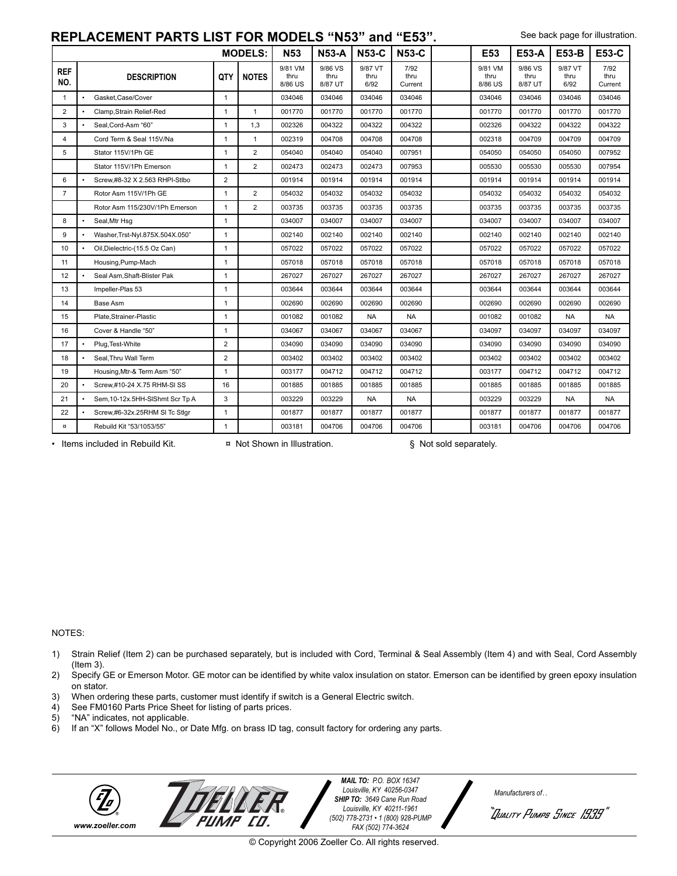### **REPLACEMENT PARTS LIST FOR MODELS "N53" and "E53".**

See back page for illustration.

|                   |           |                                 |                | <b>MODELS:</b> | <b>N53</b>                 | <b>N53-A</b>               | <b>N53-C</b>            | <b>N53-C</b>            | E53                        | <b>E53-A</b>               | <b>E53-B</b>            | <b>E53-C</b>            |
|-------------------|-----------|---------------------------------|----------------|----------------|----------------------------|----------------------------|-------------------------|-------------------------|----------------------------|----------------------------|-------------------------|-------------------------|
| <b>REF</b><br>NO. |           | <b>DESCRIPTION</b>              | QTY            | <b>NOTES</b>   | 9/81 VM<br>thru<br>8/86 US | 9/86 VS<br>thru<br>8/87 UT | 9/87 VT<br>thru<br>6/92 | 7/92<br>thru<br>Current | 9/81 VM<br>thru<br>8/86 US | 9/86 VS<br>thru<br>8/87 UT | 9/87 VT<br>thru<br>6/92 | 7/92<br>thru<br>Current |
| $\mathbf{1}$      | $\bullet$ | Gasket.Case/Cover               | $\mathbf{1}$   |                | 034046                     | 034046                     | 034046                  | 034046                  | 034046                     | 034046                     | 034046                  | 034046                  |
| $\overline{2}$    | $\bullet$ | Clamp, Strain Relief-Red        | $\overline{1}$ | $\mathbf{1}$   | 001770                     | 001770                     | 001770                  | 001770                  | 001770                     | 001770                     | 001770                  | 001770                  |
| 3                 | $\bullet$ | Seal.Cord-Asm "60"              | $\overline{1}$ | 1,3            | 002326                     | 004322                     | 004322                  | 004322                  | 002326                     | 004322                     | 004322                  | 004322                  |
| $\overline{4}$    |           | Cord Term & Seal 115V/Na        | $\mathbf{1}$   | $\mathbf{1}$   | 002319                     | 004708                     | 004708                  | 004708                  | 002318                     | 004709                     | 004709                  | 004709                  |
| 5                 |           | Stator 115V/1Ph GE              | $\mathbf{1}$   | $\overline{2}$ | 054040                     | 054040                     | 054040                  | 007951                  | 054050                     | 054050                     | 054050                  | 007952                  |
|                   |           | Stator 115V/1Ph Emerson         | $\mathbf{1}$   | $\overline{2}$ | 002473                     | 002473                     | 002473                  | 007953                  | 005530                     | 005530                     | 005530                  | 007954                  |
| 6                 | $\bullet$ | Screw.#8-32 X 2.563 RHPI-Stlbo  | $\overline{2}$ |                | 001914                     | 001914                     | 001914                  | 001914                  | 001914                     | 001914                     | 001914                  | 001914                  |
| $\overline{7}$    |           | Rotor Asm 115V/1Ph GE           | $\overline{1}$ | $\mathbf{2}$   | 054032                     | 054032                     | 054032                  | 054032                  | 054032                     | 054032                     | 054032                  | 054032                  |
|                   |           | Rotor Asm 115/230V/1Ph Emerson  | $\mathbf{1}$   | $\overline{2}$ | 003735                     | 003735                     | 003735                  | 003735                  | 003735                     | 003735                     | 003735                  | 003735                  |
| 8                 | $\bullet$ | Seal, Mtr Hsq                   | $\mathbf{1}$   |                | 034007                     | 034007                     | 034007                  | 034007                  | 034007                     | 034007                     | 034007                  | 034007                  |
| 9                 |           | Washer, Trst-Nyl.875X.504X.050" | $\mathbf{1}$   |                | 002140                     | 002140                     | 002140                  | 002140                  | 002140                     | 002140                     | 002140                  | 002140                  |
| 10                | $\bullet$ | Oil, Dielectric-(15.5 Oz Can)   | $\mathbf{1}$   |                | 057022                     | 057022                     | 057022                  | 057022                  | 057022                     | 057022                     | 057022                  | 057022                  |
| 11                |           | Housing, Pump-Mach              | $\overline{1}$ |                | 057018                     | 057018                     | 057018                  | 057018                  | 057018                     | 057018                     | 057018                  | 057018                  |
| 12                | $\bullet$ | Seal Asm, Shaft-Blister Pak     | $\overline{1}$ |                | 267027                     | 267027                     | 267027                  | 267027                  | 267027                     | 267027                     | 267027                  | 267027                  |
| 13                |           | Impeller-Plas 53                | $\mathbf{1}$   |                | 003644                     | 003644                     | 003644                  | 003644                  | 003644                     | 003644                     | 003644                  | 003644                  |
| 14                |           | Base Asm                        | $\mathbf{1}$   |                | 002690                     | 002690                     | 002690                  | 002690                  | 002690                     | 002690                     | 002690                  | 002690                  |
| 15                |           | Plate, Strainer-Plastic         | $\mathbf{1}$   |                | 001082                     | 001082                     | <b>NA</b>               | <b>NA</b>               | 001082                     | 001082                     | <b>NA</b>               | <b>NA</b>               |
| 16                |           | Cover & Handle "50"             | $\mathbf{1}$   |                | 034067                     | 034067                     | 034067                  | 034067                  | 034097                     | 034097                     | 034097                  | 034097                  |
| 17                | $\bullet$ | Plug, Test-White                | $\overline{2}$ |                | 034090                     | 034090                     | 034090                  | 034090                  | 034090                     | 034090                     | 034090                  | 034090                  |
| 18                | $\bullet$ | Seal, Thru Wall Term            | $\overline{2}$ |                | 003402                     | 003402                     | 003402                  | 003402                  | 003402                     | 003402                     | 003402                  | 003402                  |
| 19                |           | Housing, Mtr-& Term Asm "50"    | $\mathbf{1}$   |                | 003177                     | 004712                     | 004712                  | 004712                  | 003177                     | 004712                     | 004712                  | 004712                  |
| 20                | $\bullet$ | Screw.#10-24 X.75 RHM-SI SS     | 16             |                | 001885                     | 001885                     | 001885                  | 001885                  | 001885                     | 001885                     | 001885                  | 001885                  |
| 21                |           | Sem, 10-12x.5HH-SIShmt Scr Tp A | 3              |                | 003229                     | 003229                     | <b>NA</b>               | <b>NA</b>               | 003229                     | 003229                     | <b>NA</b>               | <b>NA</b>               |
| 22                | $\bullet$ | Screw,#6-32x.25RHM SI Tc Stlgr  | $\mathbf{1}$   |                | 001877                     | 001877                     | 001877                  | 001877                  | 001877                     | 001877                     | 001877                  | 001877                  |
| $\alpha$          |           | Rebuild Kit "53/1053/55"        | $\overline{1}$ |                | 003181                     | 004706                     | 004706                  | 004706                  | 003181                     | 004706                     | 004706                  | 004706                  |

• Items included in Rebuild Kit.  $\Box$  **x** Not Shown in Illustration.  $\Diamond$  Not sold separately.

#### NOTES:

- 1) Strain Relief (Item 2) can be purchased separately, but is included with Cord, Terminal & Seal Assembly (Item 4) and with Seal, Cord Assembly (Item 3).
- 2) Specify GE or Emerson Motor. GE motor can be identified by white valox insulation on stator. Emerson can be identified by green epoxy insulation on stator.
- 3) When ordering these parts, customer must identify if switch is a General Electric switch.<br>4) See FM0160 Parts Price Sheet for listing of parts prices.

PUMP CO.

- See FM0160 Parts Price Sheet for listing of parts prices.
- 5) "NA" indicates, not applicable.<br>6) If an "X" follows Model No., or
- If an "X" follows Model No., or Date Mfg. on brass ID tag, consult factory for ordering any parts.



*MAIL TO: P.O. BOX 16347 Louisville, KY 40256-0347 SHIP TO: 3649 Cane Run Road Louisville, KY 40211-1961 (502) 778-2731 • 1 (800) 928-PUMP FAX (502) 774-3624*

*Manufacturers of . .* 

``Iliality Pumps Since 1939<sup>''</sup>

© Copyright 2006 Zoeller Co. All rights reserved.